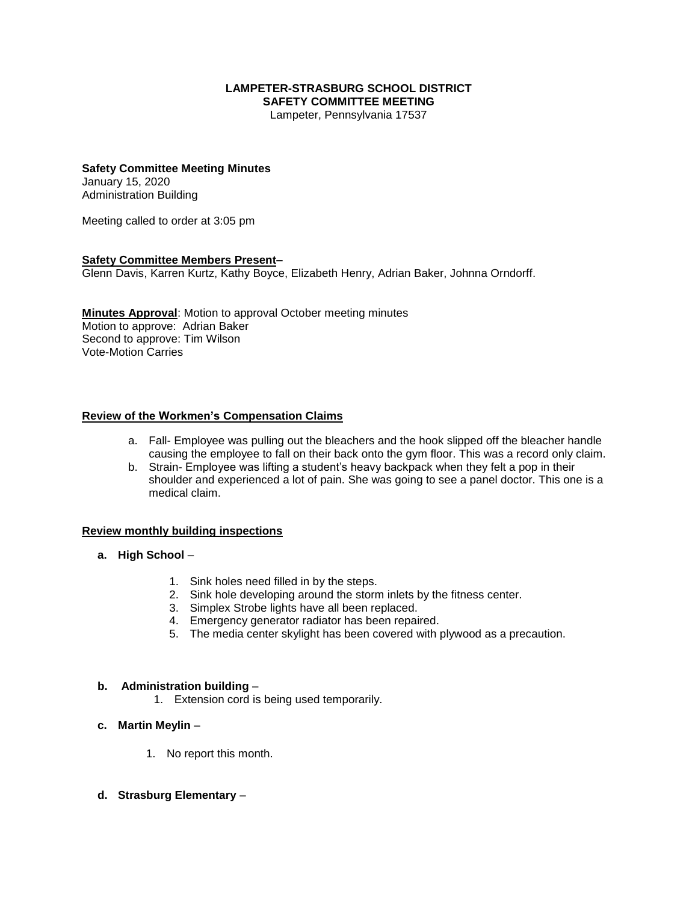## **LAMPETER-STRASBURG SCHOOL DISTRICT SAFETY COMMITTEE MEETING**

Lampeter, Pennsylvania 17537

#### **Safety Committee Meeting Minutes**

January 15, 2020 Administration Building

Meeting called to order at 3:05 pm

## **Safety Committee Members Present–**

Glenn Davis, Karren Kurtz, Kathy Boyce, Elizabeth Henry, Adrian Baker, Johnna Orndorff.

**Minutes Approval**: Motion to approval October meeting minutes Motion to approve: Adrian Baker Second to approve: Tim Wilson Vote-Motion Carries

#### **Review of the Workmen's Compensation Claims**

- a. Fall- Employee was pulling out the bleachers and the hook slipped off the bleacher handle causing the employee to fall on their back onto the gym floor. This was a record only claim.
- b. Strain- Employee was lifting a student's heavy backpack when they felt a pop in their shoulder and experienced a lot of pain. She was going to see a panel doctor. This one is a medical claim.

#### **Review monthly building inspections**

- **a. High School**
	- 1. Sink holes need filled in by the steps.
	- 2. Sink hole developing around the storm inlets by the fitness center.
	- 3. Simplex Strobe lights have all been replaced.
	- 4. Emergency generator radiator has been repaired.
	- 5. The media center skylight has been covered with plywood as a precaution.

#### **b. Administration building** –

- 1. Extension cord is being used temporarily.
- **c. Martin Meylin**
	- 1. No report this month.
- **d. Strasburg Elementary** –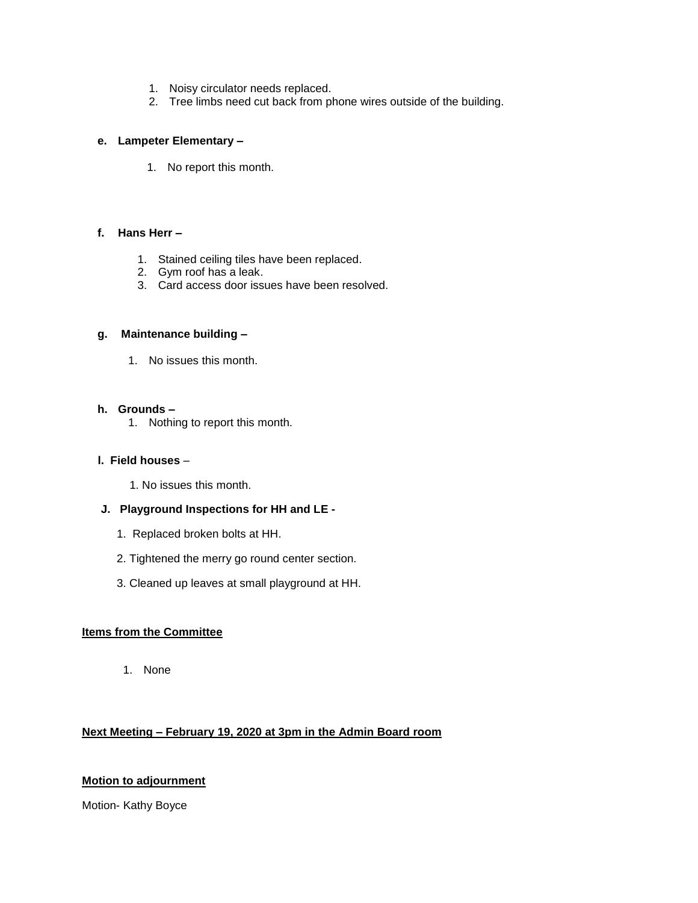- 1. Noisy circulator needs replaced.
- 2. Tree limbs need cut back from phone wires outside of the building.

## **e. Lampeter Elementary –**

1. No report this month.

## **f. Hans Herr –**

- 1. Stained ceiling tiles have been replaced.
- 2. Gym roof has a leak.
- 3. Card access door issues have been resolved.

## **g. Maintenance building –**

1. No issues this month.

## **h. Grounds –**

1. Nothing to report this month.

## **l. Field houses** –

1. No issues this month.

# **J. Playground Inspections for HH and LE -**

- 1. Replaced broken bolts at HH.
- 2. Tightened the merry go round center section.
- 3. Cleaned up leaves at small playground at HH.

# **Items from the Committee**

1. None

# **Next Meeting – February 19, 2020 at 3pm in the Admin Board room**

# **Motion to adjournment**

Motion- Kathy Boyce